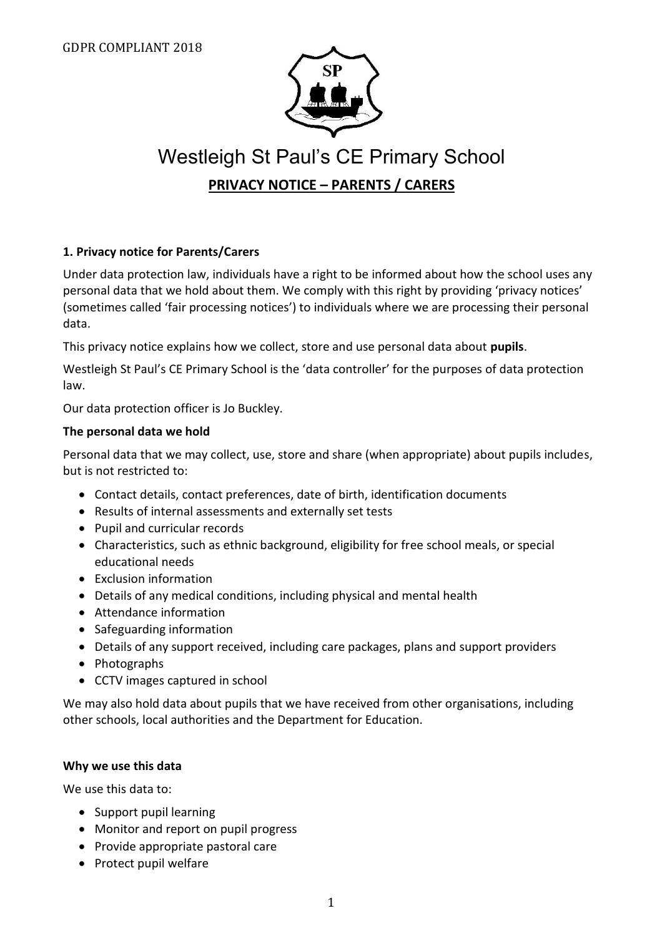

# Westleigh St Paul's CE Primary School **PRIVACY NOTICE – PARENTS / CARERS**

#### **1. Privacy notice for Parents/Carers**

Under data protection law, individuals have a right to be informed about how the school uses any personal data that we hold about them. We comply with this right by providing 'privacy notices' (sometimes called 'fair processing notices') to individuals where we are processing their personal data.

This privacy notice explains how we collect, store and use personal data about **pupils**.

Westleigh St Paul's CE Primary School is the 'data controller' for the purposes of data protection law.

Our data protection officer is Jo Buckley.

#### **The personal data we hold**

Personal data that we may collect, use, store and share (when appropriate) about pupils includes, but is not restricted to:

- Contact details, contact preferences, date of birth, identification documents
- Results of internal assessments and externally set tests
- Pupil and curricular records
- Characteristics, such as ethnic background, eligibility for free school meals, or special educational needs
- Exclusion information
- Details of any medical conditions, including physical and mental health
- Attendance information
- Safeguarding information
- Details of any support received, including care packages, plans and support providers
- Photographs
- CCTV images captured in school

We may also hold data about pupils that we have received from other organisations, including other schools, local authorities and the Department for Education.

#### **Why we use this data**

We use this data to:

- Support pupil learning
- Monitor and report on pupil progress
- Provide appropriate pastoral care
- Protect pupil welfare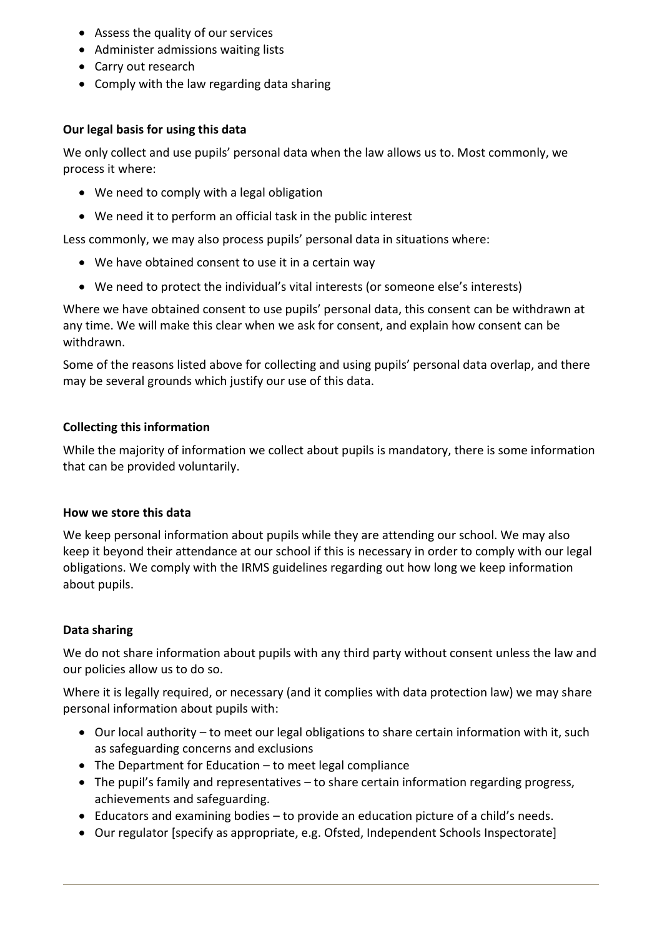- Assess the quality of our services
- Administer admissions waiting lists
- Carry out research
- Comply with the law regarding data sharing

#### **Our legal basis for using this data**

We only collect and use pupils' personal data when the law allows us to. Most commonly, we process it where:

- We need to comply with a legal obligation
- We need it to perform an official task in the public interest

Less commonly, we may also process pupils' personal data in situations where:

- We have obtained consent to use it in a certain way
- We need to protect the individual's vital interests (or someone else's interests)

Where we have obtained consent to use pupils' personal data, this consent can be withdrawn at any time. We will make this clear when we ask for consent, and explain how consent can be withdrawn.

Some of the reasons listed above for collecting and using pupils' personal data overlap, and there may be several grounds which justify our use of this data.

## **Collecting this information**

While the majority of information we collect about pupils is mandatory, there is some information that can be provided voluntarily.

## **How we store this data**

We keep personal information about pupils while they are attending our school. We may also keep it beyond their attendance at our school if this is necessary in order to comply with our legal obligations. We comply with the IRMS guidelines regarding out how long we keep information about pupils.

## **Data sharing**

We do not share information about pupils with any third party without consent unless the law and our policies allow us to do so.

Where it is legally required, or necessary (and it complies with data protection law) we may share personal information about pupils with:

- Our local authority to meet our legal obligations to share certain information with it, such as safeguarding concerns and exclusions
- The Department for Education to meet legal compliance
- The pupil's family and representatives to share certain information regarding progress, achievements and safeguarding.
- Educators and examining bodies to provide an education picture of a child's needs.
- Our regulator [specify as appropriate, e.g. Ofsted, Independent Schools Inspectorate]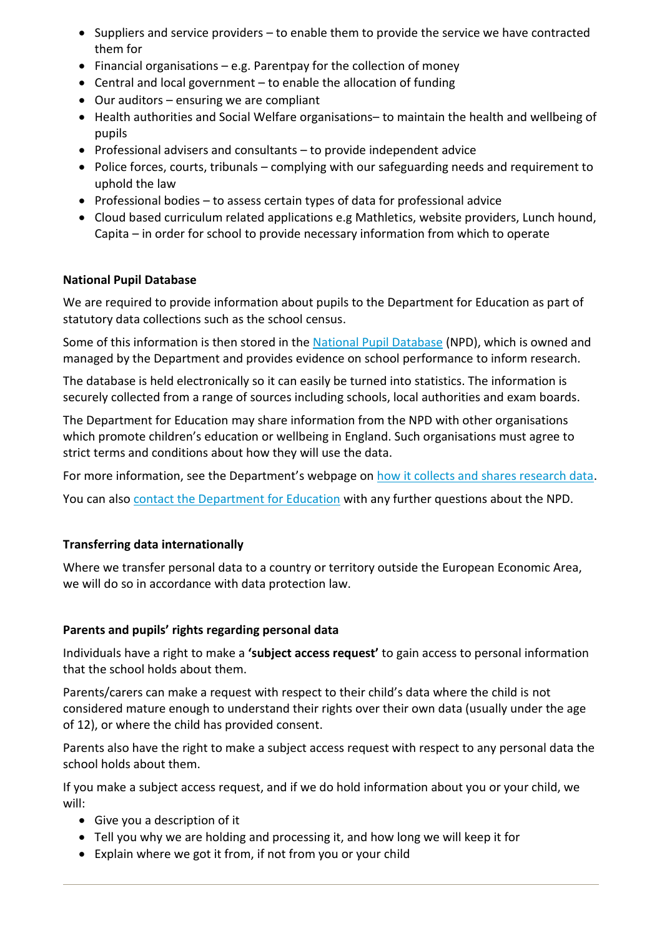- Suppliers and service providers to enable them to provide the service we have contracted them for
- Financial organisations e.g. Parentpay for the collection of money
- Central and local government to enable the allocation of funding
- Our auditors ensuring we are compliant
- Health authorities and Social Welfare organisations– to maintain the health and wellbeing of pupils
- Professional advisers and consultants to provide independent advice
- Police forces, courts, tribunals complying with our safeguarding needs and requirement to uphold the law
- Professional bodies  $-$  to assess certain types of data for professional advice
- Cloud based curriculum related applications e.g Mathletics, website providers, Lunch hound, Capita – in order for school to provide necessary information from which to operate

#### **National Pupil Database**

We are required to provide information about pupils to the Department for Education as part of statutory data collections such as the school census.

Some of this information is then stored in the [National Pupil Database](https://www.gov.uk/government/publications/national-pupil-database-user-guide-and-supporting-information) (NPD), which is owned and managed by the Department and provides evidence on school performance to inform research.

The database is held electronically so it can easily be turned into statistics. The information is securely collected from a range of sources including schools, local authorities and exam boards.

The Department for Education may share information from the NPD with other organisations which promote children's education or wellbeing in England. Such organisations must agree to strict terms and conditions about how they will use the data.

For more information, see the Department's webpage o[n how it collects and shares research data.](https://www.gov.uk/data-protection-how-we-collect-and-share-research-data)

You can also [contact the Department for Education](https://www.gov.uk/contact-dfe) with any further questions about the NPD.

#### **Transferring data internationally**

Where we transfer personal data to a country or territory outside the European Economic Area, we will do so in accordance with data protection law.

#### **Parents and pupils' rights regarding personal data**

Individuals have a right to make a **'subject access request'** to gain access to personal information that the school holds about them.

Parents/carers can make a request with respect to their child's data where the child is not considered mature enough to understand their rights over their own data (usually under the age of 12), or where the child has provided consent.

Parents also have the right to make a subject access request with respect to any personal data the school holds about them.

If you make a subject access request, and if we do hold information about you or your child, we will:

- Give you a description of it
- Tell you why we are holding and processing it, and how long we will keep it for
- Explain where we got it from, if not from you or your child